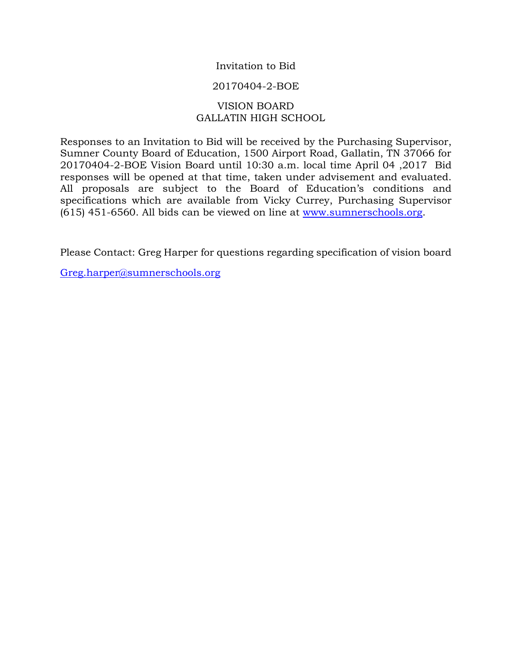## Invitation to Bid

### 20170404-2-BOE

## VISION BOARD GALLATIN HIGH SCHOOL

Responses to an Invitation to Bid will be received by the Purchasing Supervisor, Sumner County Board of Education, 1500 Airport Road, Gallatin, TN 37066 for 20170404-2-BOE Vision Board until 10:30 a.m. local time April 04 ,2017 Bid responses will be opened at that time, taken under advisement and evaluated. All proposals are subject to the Board of Education's conditions and specifications which are available from Vicky Currey, Purchasing Supervisor (615) 451-6560. All bids can be viewed on line at [www.sumnerschools.org.](http://www.sumnerschools.org/)

Please Contact: Greg Harper for questions regarding specification of vision board

[Greg.harper@sumnerschools.org](mailto:Greg.harper@sumnerschools.org)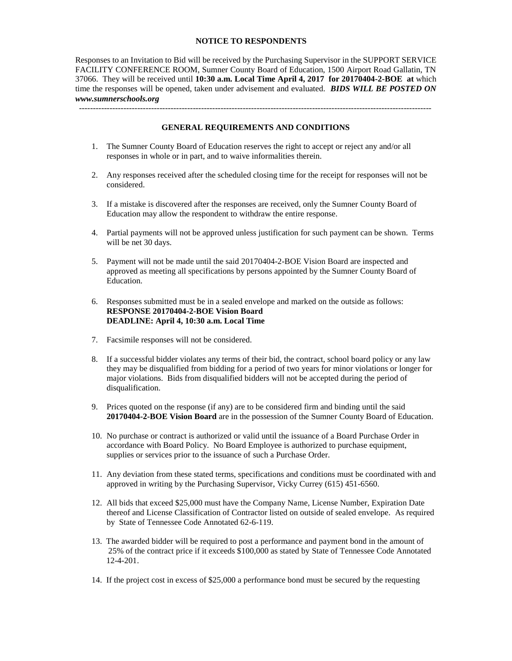#### **NOTICE TO RESPONDENTS**

Responses to an Invitation to Bid will be received by the Purchasing Supervisor in the SUPPORT SERVICE FACILITY CONFERENCE ROOM, Sumner County Board of Education, 1500 Airport Road Gallatin, TN 37066. They will be received until **10:30 a.m. Local Time April 4, 2017 for 20170404-2-BOE at** which time the responses will be opened, taken under advisement and evaluated. *BIDS WILL BE POSTED ON www.sumnerschools.org*

-------------------------------------------------------------------------------------------------------------------------------

#### **GENERAL REQUIREMENTS AND CONDITIONS**

- 1. The Sumner County Board of Education reserves the right to accept or reject any and/or all responses in whole or in part, and to waive informalities therein.
- 2. Any responses received after the scheduled closing time for the receipt for responses will not be considered.
- 3. If a mistake is discovered after the responses are received, only the Sumner County Board of Education may allow the respondent to withdraw the entire response.
- 4. Partial payments will not be approved unless justification for such payment can be shown. Terms will be net 30 days.
- 5. Payment will not be made until the said 20170404-2-BOE Vision Board are inspected and approved as meeting all specifications by persons appointed by the Sumner County Board of Education.
- 6. Responses submitted must be in a sealed envelope and marked on the outside as follows: **RESPONSE 20170404-2-BOE Vision Board DEADLINE: April 4, 10:30 a.m. Local Time**
- 7. Facsimile responses will not be considered.
- 8. If a successful bidder violates any terms of their bid, the contract, school board policy or any law they may be disqualified from bidding for a period of two years for minor violations or longer for major violations. Bids from disqualified bidders will not be accepted during the period of disqualification.
- 9. Prices quoted on the response (if any) are to be considered firm and binding until the said **20170404-2-BOE Vision Board** are in the possession of the Sumner County Board of Education.
- 10. No purchase or contract is authorized or valid until the issuance of a Board Purchase Order in accordance with Board Policy. No Board Employee is authorized to purchase equipment, supplies or services prior to the issuance of such a Purchase Order.
- 11. Any deviation from these stated terms, specifications and conditions must be coordinated with and approved in writing by the Purchasing Supervisor, Vicky Currey (615) 451-6560.
- 12. All bids that exceed \$25,000 must have the Company Name, License Number, Expiration Date thereof and License Classification of Contractor listed on outside of sealed envelope. As required by State of Tennessee Code Annotated 62-6-119.
- 13. The awarded bidder will be required to post a performance and payment bond in the amount of 25% of the contract price if it exceeds \$100,000 as stated by State of Tennessee Code Annotated 12-4-201.
- 14. If the project cost in excess of \$25,000 a performance bond must be secured by the requesting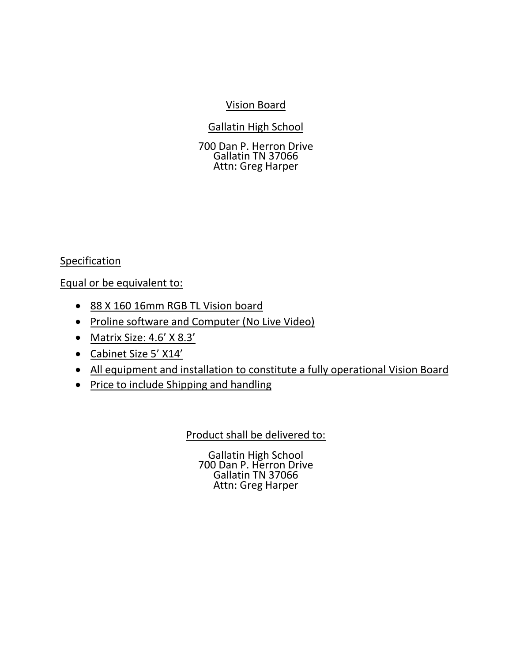# Vision Board

Gallatin High School

700 Dan P. Herron Drive Gallatin TN 37066 Attn: Greg Harper

Specification

Equal or be equivalent to:

- 88 X 160 16mm RGB TL Vision board
- Proline software and Computer (No Live Video)
- Matrix Size: 4.6' X 8.3'
- Cabinet Size 5' X14'
- All equipment and installation to constitute a fully operational Vision Board
- Price to include Shipping and handling

Product shall be delivered to:

Gallatin High School 700 Dan P. Herron Drive Gallatin TN 37066 Attn: Greg Harper